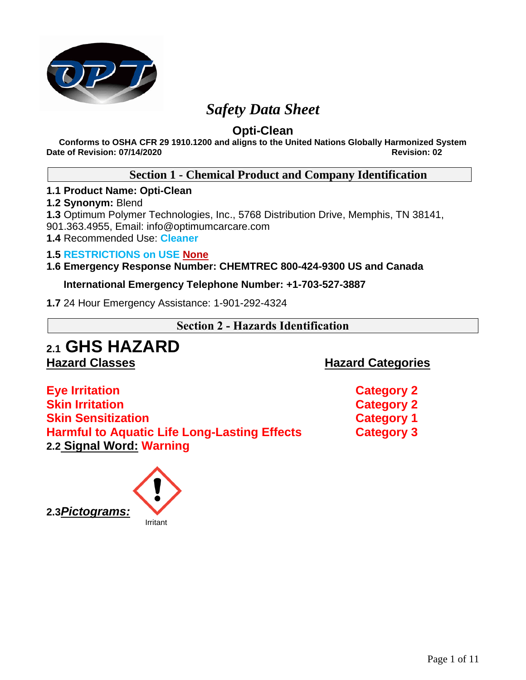

## *Safety Data Sheet*

## **Opti-Clean**

**Conforms to OSHA CFR 29 1910.1200 and aligns to the United Nations Globally Harmonized System Date of Revision: 07/14/2020 Revision: 02**

## **Section 1 - Chemical Product and Company Identification**

## **1.1 Product Name: Opti-Clean**

## **1.2 Synonym:** Blend

**1.3** Optimum Polymer Technologies, Inc., 5768 Distribution Drive, Memphis, TN 38141, 901.363.4955, Email: info@optimumcarcare.com

**1.4** Recommended Use: **Cleaner**

## **1.5 RESTRICTIONS on USE None**

## **1.6 Emergency Response Number: CHEMTREC 800-424-9300 US and Canada**

## **International Emergency Telephone Number: +1-703-527-3887**

**1.7** 24 Hour Emergency Assistance: 1-901-292-4324

## **Section 2 - Hazards Identification**

# **2.1 GHS HAZARD**

**Hazard Classes Hazard Categories**

**Eye Irritation Category 2 Skin Irritation Category 2 Skin Sensitization Category 1 Harmful to Aquatic Life Long-Lasting Effects Category 3 2.2 Signal Word: Warning** 

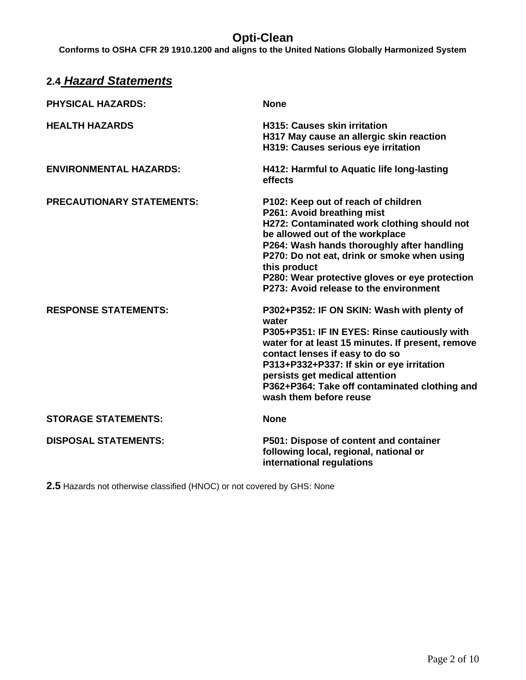**Conforms to OSHA CFR 29 1910.1200 and aligns to the United Nations Globally Harmonized System**

| <b>2.4 Hazard Statements</b>     |                                                                                                                                                                                                                                                                                                                                                              |
|----------------------------------|--------------------------------------------------------------------------------------------------------------------------------------------------------------------------------------------------------------------------------------------------------------------------------------------------------------------------------------------------------------|
| <b>PHYSICAL HAZARDS:</b>         | <b>None</b>                                                                                                                                                                                                                                                                                                                                                  |
| <b>HEALTH HAZARDS</b>            | <b>H315: Causes skin irritation</b><br>H317 May cause an allergic skin reaction<br>H319: Causes serious eye irritation                                                                                                                                                                                                                                       |
| <b>ENVIRONMENTAL HAZARDS:</b>    | H412: Harmful to Aquatic life long-lasting<br>effects                                                                                                                                                                                                                                                                                                        |
| <b>PRECAUTIONARY STATEMENTS:</b> | P102: Keep out of reach of children<br>P261: Avoid breathing mist<br>H272: Contaminated work clothing should not<br>be allowed out of the workplace<br>P264: Wash hands thoroughly after handling<br>P270: Do not eat, drink or smoke when using<br>this product<br>P280: Wear protective gloves or eye protection<br>P273: Avoid release to the environment |
| <b>RESPONSE STATEMENTS:</b>      | P302+P352: IF ON SKIN: Wash with plenty of<br>water<br>P305+P351: IF IN EYES: Rinse cautiously with<br>water for at least 15 minutes. If present, remove<br>contact lenses if easy to do so<br>P313+P332+P337: If skin or eye irritation<br>persists get medical attention<br>P362+P364: Take off contaminated clothing and<br>wash them before reuse        |
| <b>STORAGE STATEMENTS:</b>       | <b>None</b>                                                                                                                                                                                                                                                                                                                                                  |
| <b>DISPOSAL STATEMENTS:</b>      | P501: Dispose of content and container<br>following local, regional, national or<br>international regulations                                                                                                                                                                                                                                                |

**2.5** Hazards not otherwise classified (HNOC) or not covered by GHS: None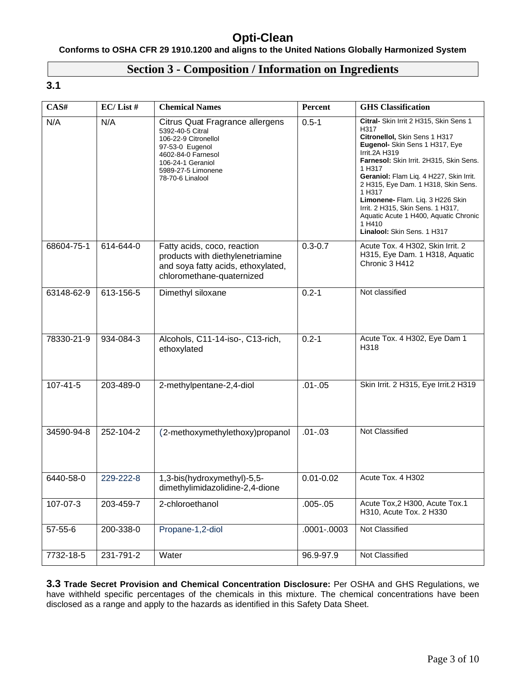## **Conforms to OSHA CFR 29 1910.1200 and aligns to the United Nations Globally Harmonized System**

## **Section 3 - Composition / Information on Ingredients**

## **3.1**

| CAS#          | $EC/$ List # | <b>Chemical Names</b>                                                                                                                                                               | Percent       | <b>GHS</b> Classification                                                                                                                                                                                                                                                                                                                                                                                                                             |
|---------------|--------------|-------------------------------------------------------------------------------------------------------------------------------------------------------------------------------------|---------------|-------------------------------------------------------------------------------------------------------------------------------------------------------------------------------------------------------------------------------------------------------------------------------------------------------------------------------------------------------------------------------------------------------------------------------------------------------|
| N/A           | N/A          | Citrus Quat Fragrance allergens<br>5392-40-5 Citral<br>106-22-9 Citronellol<br>97-53-0 Eugenol<br>4602-84-0 Farnesol<br>106-24-1 Geraniol<br>5989-27-5 Limonene<br>78-70-6 Linalool | $0.5 - 1$     | Citral- Skin Irrit 2 H315, Skin Sens 1<br>H317<br>Citronellol, Skin Sens 1 H317<br>Eugenol- Skin Sens 1 H317, Eye<br><b>Irrit.2A H319</b><br>Farnesol: Skin Irrit. 2H315, Skin Sens.<br>1 H317<br>Geraniol: Flam Liq. 4 H227, Skin Irrit.<br>2 H315, Eye Dam. 1 H318, Skin Sens.<br>1 H317<br>Limonene- Flam. Liq. 3 H226 Skin<br>Irrit. 2 H315, Skin Sens. 1 H317,<br>Aquatic Acute 1 H400, Aquatic Chronic<br>1 H410<br>Linalool: Skin Sens. 1 H317 |
| 68604-75-1    | 614-644-0    | Fatty acids, coco, reaction<br>products with diethylenetriamine<br>and soya fatty acids, ethoxylated,<br>chloromethane-quaternized                                                  | $0.3 - 0.7$   | Acute Tox. 4 H302, Skin Irrit. 2<br>H315, Eye Dam. 1 H318, Aquatic<br>Chronic 3 H412                                                                                                                                                                                                                                                                                                                                                                  |
| 63148-62-9    | 613-156-5    | Dimethyl siloxane                                                                                                                                                                   | $0.2 - 1$     | Not classified                                                                                                                                                                                                                                                                                                                                                                                                                                        |
| 78330-21-9    | 934-084-3    | Alcohols, C11-14-iso-, C13-rich,<br>ethoxylated                                                                                                                                     | $0.2 - 1$     | Acute Tox. 4 H302, Eye Dam 1<br>H318                                                                                                                                                                                                                                                                                                                                                                                                                  |
| 107-41-5      | 203-489-0    | 2-methylpentane-2,4-diol                                                                                                                                                            | $.01 - .05$   | Skin Irrit. 2 H315, Eye Irrit.2 H319                                                                                                                                                                                                                                                                                                                                                                                                                  |
| 34590-94-8    | 252-104-2    | (2-methoxymethylethoxy)propanol                                                                                                                                                     | $.01 - .03$   | Not Classified                                                                                                                                                                                                                                                                                                                                                                                                                                        |
| 6440-58-0     | 229-222-8    | 1,3-bis(hydroxymethyl)-5,5-<br>dimethylimidazolidine-2,4-dione                                                                                                                      | $0.01 - 0.02$ | Acute Tox. 4 H302                                                                                                                                                                                                                                                                                                                                                                                                                                     |
| 107-07-3      | 203-459-7    | 2-chloroethanol                                                                                                                                                                     | $.005 - .05$  | Acute Tox, 2 H300, Acute Tox.1<br>H310, Acute Tox. 2 H330                                                                                                                                                                                                                                                                                                                                                                                             |
| $57 - 55 - 6$ | 200-338-0    | Propane-1,2-diol                                                                                                                                                                    | .0001-.0003   | Not Classified                                                                                                                                                                                                                                                                                                                                                                                                                                        |
| 7732-18-5     | 231-791-2    | Water                                                                                                                                                                               | 96.9-97.9     | Not Classified                                                                                                                                                                                                                                                                                                                                                                                                                                        |

**3.3 Trade Secret Provision and Chemical Concentration Disclosure:** Per OSHA and GHS Regulations, we have withheld specific percentages of the chemicals in this mixture. The chemical concentrations have been disclosed as a range and apply to the hazards as identified in this Safety Data Sheet.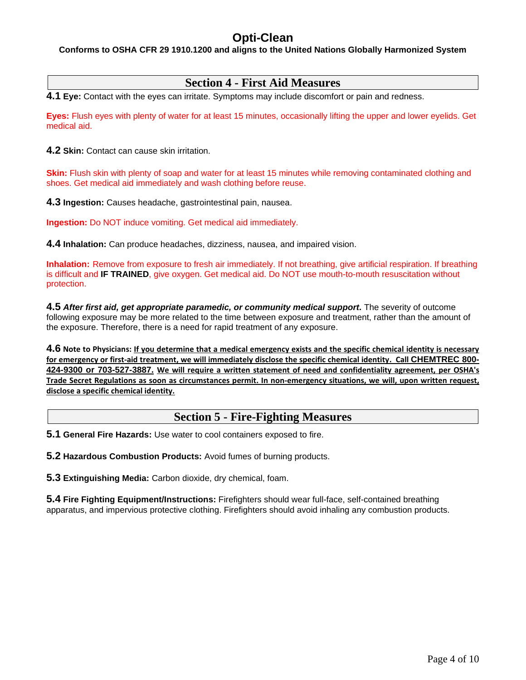#### **Conforms to OSHA CFR 29 1910.1200 and aligns to the United Nations Globally Harmonized System**

## **Section 4 - First Aid Measures**

**4.1 Eye:** Contact with the eyes can irritate. Symptoms may include discomfort or pain and redness.

**Eyes:** Flush eyes with plenty of water for at least 15 minutes, occasionally lifting the upper and lower eyelids. Get medical aid.

**4.2 Skin:** Contact can cause skin irritation.

**Skin:** Flush skin with plenty of soap and water for at least 15 minutes while removing contaminated clothing and shoes. Get medical aid immediately and wash clothing before reuse.

**4.3 Ingestion:** Causes headache, gastrointestinal pain, nausea.

**Ingestion:** Do NOT induce vomiting. Get medical aid immediately.

**4.4 Inhalation:** Can produce headaches, dizziness, nausea, and impaired vision.

**Inhalation:** Remove from exposure to fresh air immediately. If not breathing, give artificial respiration. If breathing is difficult and **IF TRAINED**, give oxygen. Get medical aid. Do NOT use mouth-to-mouth resuscitation without protection.

**4.5** *After first aid, get appropriate paramedic, or community medical support.* The severity of outcome following exposure may be more related to the time between exposure and treatment, rather than the amount of the exposure. Therefore, there is a need for rapid treatment of any exposure.

**4.6 Note to Physicians: If you determine that a medical emergency exists and the specific chemical identity is necessary for emergency or first-aid treatment, we will immediately disclose the specific chemical identity. Call CHEMTREC 800- 424-9300 or 703-527-3887. We will require a written statement of need and confidentiality agreement, per OSHA's Trade Secret Regulations as soon as circumstances permit. In non-emergency situations, we will, upon written request, disclose a specific chemical identity.**

## **Section 5 - Fire-Fighting Measures**

**5.1 General Fire Hazards:** Use water to cool containers exposed to fire.

**5.2 Hazardous Combustion Products:** Avoid fumes of burning products.

**5.3 Extinguishing Media:** Carbon dioxide, dry chemical, foam.

**5.4 Fire Fighting Equipment/Instructions:** Firefighters should wear full-face, self-contained breathing apparatus, and impervious protective clothing. Firefighters should avoid inhaling any combustion products.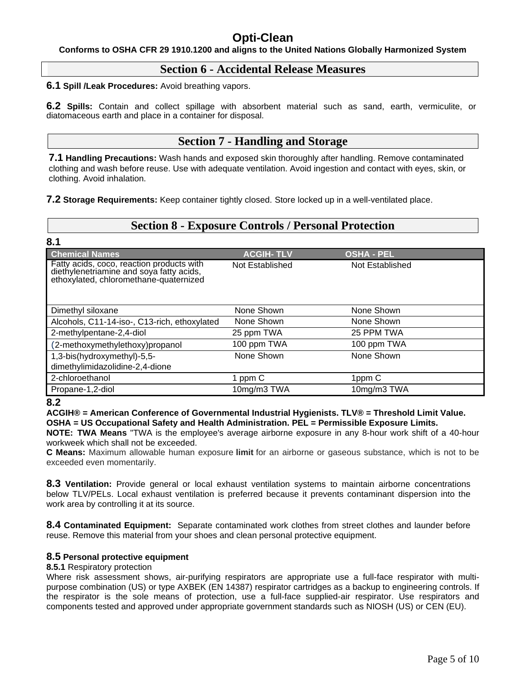**Conforms to OSHA CFR 29 1910.1200 and aligns to the United Nations Globally Harmonized System**

## **Section 6 - Accidental Release Measures**

**6.1 Spill /Leak Procedures:** Avoid breathing vapors.

**6.2 Spills:** Contain and collect spillage with absorbent material such as sand, earth, vermiculite, or diatomaceous earth and place in a container for disposal.

## **Section 7 - Handling and Storage**

**7.1 Handling Precautions:** Wash hands and exposed skin thoroughly after handling. Remove contaminated clothing and wash before reuse. Use with adequate ventilation. Avoid ingestion and contact with eyes, skin, or clothing. Avoid inhalation.

**7.2 Storage Requirements:** Keep container tightly closed. Store locked up in a well-ventilated place.

## **Section 8 - Exposure Controls / Personal Protection**

| 8.1                                                                                                                             |                  |                   |
|---------------------------------------------------------------------------------------------------------------------------------|------------------|-------------------|
| <b>Chemical Names</b>                                                                                                           | <b>ACGIH-TLV</b> | <b>OSHA - PEL</b> |
| Fatty acids, coco, reaction products with<br>diethylenetriamine and soya fatty acids,<br>ethoxylated, chloromethane-quaternized | Not Established  | Not Established   |
| Dimethyl siloxane                                                                                                               | None Shown       | None Shown        |
| Alcohols, C11-14-iso-, C13-rich, ethoxylated                                                                                    | None Shown       | None Shown        |
| 2-methylpentane-2,4-diol                                                                                                        | 25 ppm TWA       | 25 PPM TWA        |
| (2-methoxymethylethoxy)propanol                                                                                                 | 100 ppm TWA      | 100 ppm TWA       |
| 1,3-bis(hydroxymethyl)-5,5-                                                                                                     | None Shown       | None Shown        |
| dimethylimidazolidine-2,4-dione                                                                                                 |                  |                   |
| 2-chloroethanol                                                                                                                 | 1 ppm C          | 1ppm C            |
| Propane-1,2-diol                                                                                                                | 10mg/m3 TWA      | 10mg/m3 TWA       |

#### **8.2**

**ACGIH® = American Conference of Governmental Industrial Hygienists. TLV® = Threshold Limit Value. OSHA = US Occupational Safety and Health Administration. PEL = Permissible Exposure Limits.** 

**NOTE: TWA Means** "TWA is the employee's average airborne exposure in any 8-hour work shift of a 40-hour workweek which shall not be exceeded.

**C Means:** Maximum allowable human exposure **limit** for an airborne or gaseous substance, which is not to be exceeded even momentarily.

**8.3 Ventilation:** Provide general or local exhaust ventilation systems to maintain airborne concentrations below TLV/PELs. Local exhaust ventilation is preferred because it prevents contaminant dispersion into the work area by controlling it at its source.

**8.4 Contaminated Equipment:** Separate contaminated work clothes from street clothes and launder before reuse. Remove this material from your shoes and clean personal protective equipment.

#### **8.5 Personal protective equipment**

#### **8.5.1** Respiratory protection

Where risk assessment shows, air-purifying respirators are appropriate use a full-face respirator with multipurpose combination (US) or type AXBEK (EN 14387) respirator cartridges as a backup to engineering controls. If the respirator is the sole means of protection, use a full-face supplied-air respirator. Use respirators and components tested and approved under appropriate government standards such as NIOSH (US) or CEN (EU).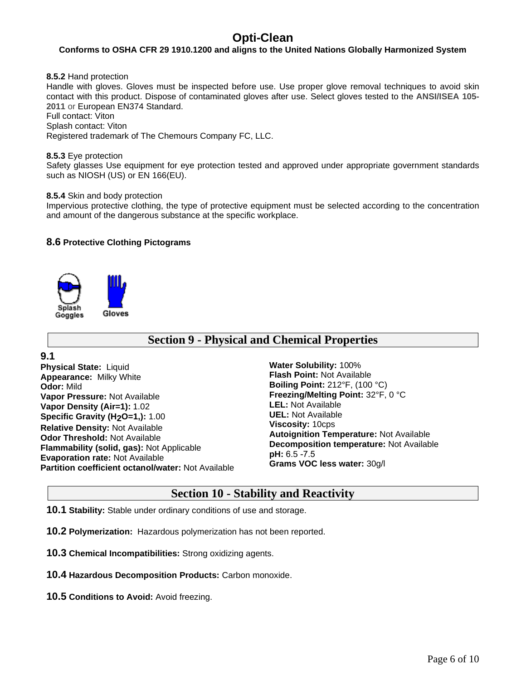#### **Conforms to OSHA CFR 29 1910.1200 and aligns to the United Nations Globally Harmonized System**

**8.5.2** Hand protection

Handle with gloves. Gloves must be inspected before use. Use proper glove removal techniques to avoid skin contact with this product. Dispose of contaminated gloves after use. Select gloves tested to the **ANSI/ISEA 105- 2011** or European EN374 Standard.

Full contact: Viton

Splash contact: Viton

Registered trademark of The Chemours Company FC, LLC.

#### **8.5.3** Eye protection

Safety glasses Use equipment for eye protection tested and approved under appropriate government standards such as NIOSH (US) or EN 166(EU).

#### **8.5.4** Skin and body protection

Impervious protective clothing, the type of protective equipment must be selected according to the concentration and amount of the dangerous substance at the specific workplace.

#### **8.6 Protective Clothing Pictograms**



## **Section 9 - Physical and Chemical Properties**

**9.1 Physical State:** Liquid **Appearance:** Milky White **Odor:** Mild **Vapor Pressure:** Not Available **Vapor Density (Air=1):** 1.02 **Specific Gravity (H<sub>2</sub>O=1,):** 1.00 **Relative Density:** Not Available **Odor Threshold:** Not Available **Flammability (solid, gas):** Not Applicable **Evaporation rate:** Not Available **Partition coefficient octanol/water:** Not Available

**Water Solubility:** 100% **Flash Point:** Not Available **Boiling Point:** 212°F, (100 °C) **Freezing/Melting Point:** 32°F, 0 °C **LEL:** Not Available **UEL:** Not Available **Viscosity:** 10cps **Autoignition Temperature:** Not Available **Decomposition temperature:** Not Available **pH:** 6.5 -7.5 **Grams VOC less water:** 30g/l

## **Section 10 - Stability and Reactivity**

**10.1 Stability:** Stable under ordinary conditions of use and storage.

**10.2 Polymerization:** Hazardous polymerization has not been reported.

- **10.3 Chemical Incompatibilities:** Strong oxidizing agents.
- **10.4 Hazardous Decomposition Products:** Carbon monoxide.
- **10.5 Conditions to Avoid:** Avoid freezing.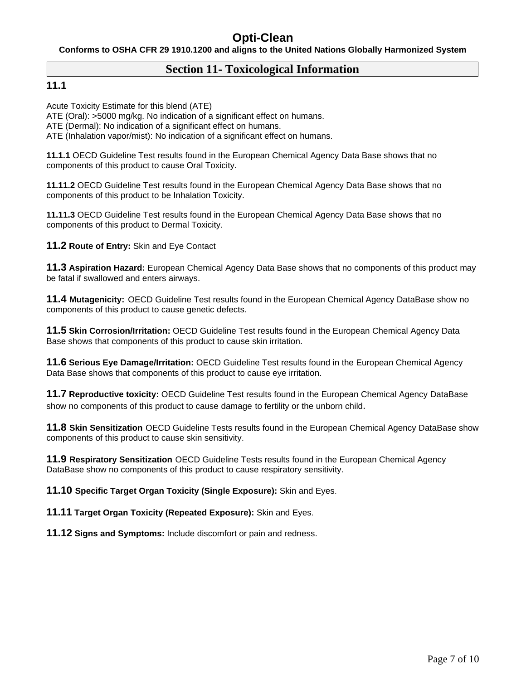**Conforms to OSHA CFR 29 1910.1200 and aligns to the United Nations Globally Harmonized System**

## **Section 11- Toxicological Information**

## **11.1**

Acute Toxicity Estimate for this blend (ATE)

ATE (Oral): >5000 mg/kg. No indication of a significant effect on humans.

ATE (Dermal): No indication of a significant effect on humans.

ATE (Inhalation vapor/mist): No indication of a significant effect on humans.

**11.1.1** OECD Guideline Test results found in the European Chemical Agency Data Base shows that no components of this product to cause Oral Toxicity.

**11.11.2** OECD Guideline Test results found in the European Chemical Agency Data Base shows that no components of this product to be Inhalation Toxicity.

**11.11.3** OECD Guideline Test results found in the European Chemical Agency Data Base shows that no components of this product to Dermal Toxicity.

**11.2 Route of Entry:** Skin and Eye Contact

**11.3 Aspiration Hazard:** European Chemical Agency Data Base shows that no components of this product may be fatal if swallowed and enters airways.

**11.4 Mutagenicity:** OECD Guideline Test results found in the European Chemical Agency DataBase show no components of this product to cause genetic defects.

**11.5 Skin Corrosion/Irritation:** OECD Guideline Test results found in the European Chemical Agency Data Base shows that components of this product to cause skin irritation.

**11.6 Serious Eye Damage/Irritation:** OECD Guideline Test results found in the European Chemical Agency Data Base shows that components of this product to cause eye irritation.

**11.7 Reproductive toxicity:** OECD Guideline Test results found in the European Chemical Agency DataBase show no components of this product to cause damage to fertility or the unborn child.

**11.8 Skin Sensitization** OECD Guideline Tests results found in the European Chemical Agency DataBase show components of this product to cause skin sensitivity.

**11.9 Respiratory Sensitization** OECD Guideline Tests results found in the European Chemical Agency DataBase show no components of this product to cause respiratory sensitivity.

**11.10 Specific Target Organ Toxicity (Single Exposure):** Skin and Eyes.

**11.11 Target Organ Toxicity (Repeated Exposure):** Skin and Eyes.

**11.12 Signs and Symptoms:** Include discomfort or pain and redness.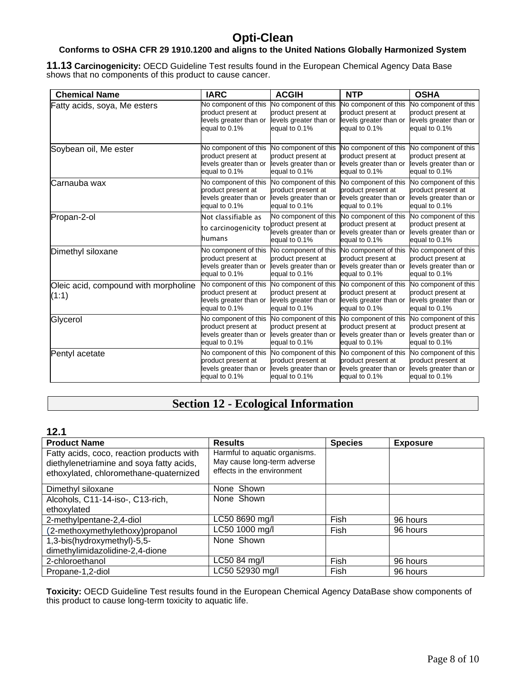## **Conforms to OSHA CFR 29 1910.1200 and aligns to the United Nations Globally Harmonized System**

**11.13 Carcinogenicity:** OECD Guideline Test results found in the European Chemical Agency Data Base shows that no components of this product to cause cancer.

| <b>Chemical Name</b>                          | <b>IARC</b>                                                                           | <b>ACGIH</b>                                                                          | <b>NTP</b>                                                                            | <b>OSHA</b>                                                                           |
|-----------------------------------------------|---------------------------------------------------------------------------------------|---------------------------------------------------------------------------------------|---------------------------------------------------------------------------------------|---------------------------------------------------------------------------------------|
| Fatty acids, soya, Me esters                  | No component of this                                                                  | No component of this                                                                  | No component of this                                                                  | No component of this                                                                  |
|                                               | product present at                                                                    | product present at                                                                    | product present at                                                                    | product present at                                                                    |
|                                               | levels greater than or                                                                | levels greater than or                                                                | levels greater than or                                                                | levels greater than or                                                                |
|                                               | equal to 0.1%                                                                         | equal to 0.1%                                                                         | equal to 0.1%                                                                         | equal to 0.1%                                                                         |
| Soybean oil, Me ester                         | No component of this                                                                  | No component of this                                                                  | No component of this                                                                  | No component of this                                                                  |
|                                               | product present at                                                                    | product present at                                                                    | product present at                                                                    | product present at                                                                    |
|                                               | levels greater than or                                                                | levels greater than or                                                                | levels greater than or                                                                | levels greater than or                                                                |
|                                               | equal to 0.1%                                                                         | equal to 0.1%                                                                         | equal to 0.1%                                                                         | equal to 0.1%                                                                         |
| Carnauba wax                                  | No component of this                                                                  | No component of this                                                                  | No component of this                                                                  | No component of this                                                                  |
|                                               | product present at                                                                    | product present at                                                                    | product present at                                                                    | product present at                                                                    |
|                                               | levels greater than or                                                                | levels greater than or                                                                | levels greater than or                                                                | levels greater than or                                                                |
|                                               | equal to 0.1%                                                                         | equal to 0.1%                                                                         | equal to 0.1%                                                                         | equal to 0.1%                                                                         |
| Propan-2-ol                                   | Not classifiable as<br>to carcinogenicity to<br>humans                                | No component of this<br>product present at<br>levels greater than or<br>equal to 0.1% | No component of this<br>product present at<br>levels greater than or<br>equal to 0.1% | No component of this<br>product present at<br>levels greater than or<br>equal to 0.1% |
| Dimethyl siloxane                             | No component of this                                                                  | No component of this                                                                  | No component of this                                                                  | No component of this                                                                  |
|                                               | product present at                                                                    | product present at                                                                    | product present at                                                                    | product present at                                                                    |
|                                               | levels greater than or                                                                | levels greater than or                                                                | levels greater than or                                                                | levels greater than or                                                                |
|                                               | equal to 0.1%                                                                         | equal to 0.1%                                                                         | equal to 0.1%                                                                         | equal to 0.1%                                                                         |
| Oleic acid, compound with morpholine<br>(1:1) | No component of this<br>product present at<br>levels greater than or<br>equal to 0.1% | No component of this<br>product present at<br>levels greater than or<br>equal to 0.1% | No component of this<br>product present at<br>levels greater than or<br>equal to 0.1% | No component of this<br>product present at<br>levels greater than or<br>equal to 0.1% |
| Glycerol                                      | No component of this                                                                  | No component of this                                                                  | No component of this                                                                  | No component of this                                                                  |
|                                               | product present at                                                                    | product present at                                                                    | product present at                                                                    | product present at                                                                    |
|                                               | levels greater than or                                                                | levels greater than or                                                                | levels greater than or                                                                | levels greater than or                                                                |
|                                               | equal to 0.1%                                                                         | equal to 0.1%                                                                         | equal to 0.1%                                                                         | equal to 0.1%                                                                         |
| Pentyl acetate                                | No component of this                                                                  | No component of this                                                                  | No component of this                                                                  | No component of this                                                                  |
|                                               | product present at                                                                    | product present at                                                                    | product present at                                                                    | product present at                                                                    |
|                                               | levels greater than or                                                                | levels greater than or                                                                | levels greater than or                                                                | levels greater than or                                                                |
|                                               | equal to 0.1%                                                                         | equal to 0.1%                                                                         | equal to 0.1%                                                                         | equal to 0.1%                                                                         |

## **Section 12 - Ecological Information**

#### **12.1**

| <b>Product Name</b>                                                                                                             | <b>Results</b>                                                                             | <b>Species</b> | <b>Exposure</b> |
|---------------------------------------------------------------------------------------------------------------------------------|--------------------------------------------------------------------------------------------|----------------|-----------------|
| Fatty acids, coco, reaction products with<br>diethylenetriamine and soya fatty acids,<br>ethoxylated, chloromethane-quaternized | Harmful to aquatic organisms.<br>May cause long-term adverse<br>effects in the environment |                |                 |
| Dimethyl siloxane                                                                                                               | None Shown                                                                                 |                |                 |
| Alcohols, C11-14-iso-, C13-rich,                                                                                                | None Shown                                                                                 |                |                 |
| ethoxylated                                                                                                                     |                                                                                            |                |                 |
| 2-methylpentane-2,4-diol                                                                                                        | LC50 8690 mg/l                                                                             | <b>Fish</b>    | 96 hours        |
| (2-methoxymethylethoxy)propanol                                                                                                 | LC50 1000 mg/l                                                                             | Fish           | 96 hours        |
| 1,3-bis(hydroxymethyl)-5,5-                                                                                                     | None Shown                                                                                 |                |                 |
| dimethylimidazolidine-2,4-dione                                                                                                 |                                                                                            |                |                 |
| 2-chloroethanol                                                                                                                 | LC50 84 mg/l                                                                               | Fish           | 96 hours        |
| Propane-1,2-diol                                                                                                                | LC50 52930 mg/l                                                                            | Fish           | 96 hours        |

**Toxicity:** OECD Guideline Test results found in the European Chemical Agency DataBase show components of this product to cause long-term toxicity to aquatic life.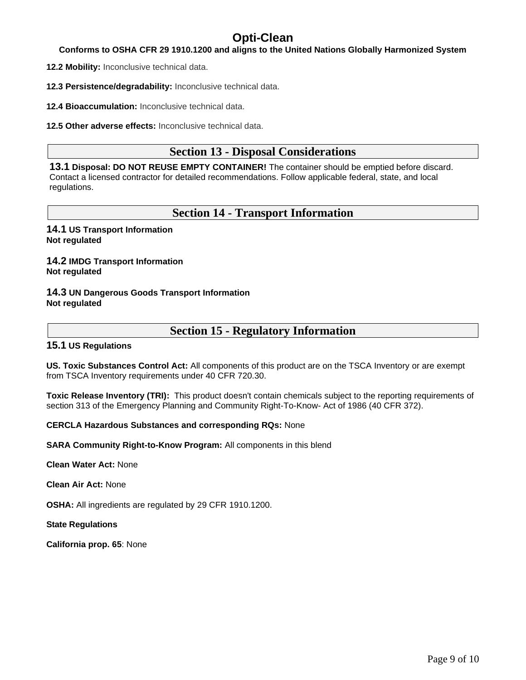#### **Conforms to OSHA CFR 29 1910.1200 and aligns to the United Nations Globally Harmonized System**

**12.2 Mobility:** Inconclusive technical data.

**12.3 Persistence/degradability:** Inconclusive technical data.

**12.4 Bioaccumulation:** Inconclusive technical data.

**12.5 Other adverse effects:** Inconclusive technical data.

## **Section 13 - Disposal Considerations**

**13.1 Disposal: DO NOT REUSE EMPTY CONTAINER!** The container should be emptied before discard. Contact a licensed contractor for detailed recommendations. Follow applicable federal, state, and local regulations.

## **Section 14 - Transport Information**

**14.1 US Transport Information Not regulated**

**14.2 IMDG Transport Information Not regulated**

#### **14.3 UN Dangerous Goods Transport Information Not regulated**

## **Section 15 - Regulatory Information**

#### **15.1 US Regulations**

**US. Toxic Substances Control Act:** All components of this product are on the TSCA Inventory or are exempt from TSCA Inventory requirements under 40 CFR 720.30.

**Toxic Release Inventory (TRI):** This product doesn't contain chemicals subject to the reporting requirements of section 313 of the Emergency Planning and Community Right-To-Know- Act of 1986 (40 CFR 372).

#### **CERCLA Hazardous Substances and corresponding RQs:** None

**SARA Community Right-to-Know Program:** All components in this blend

**Clean Water Act:** None

**Clean Air Act:** None

**OSHA:** All ingredients are regulated by 29 CFR 1910.1200.

**State Regulations**

**California prop. 65**: None